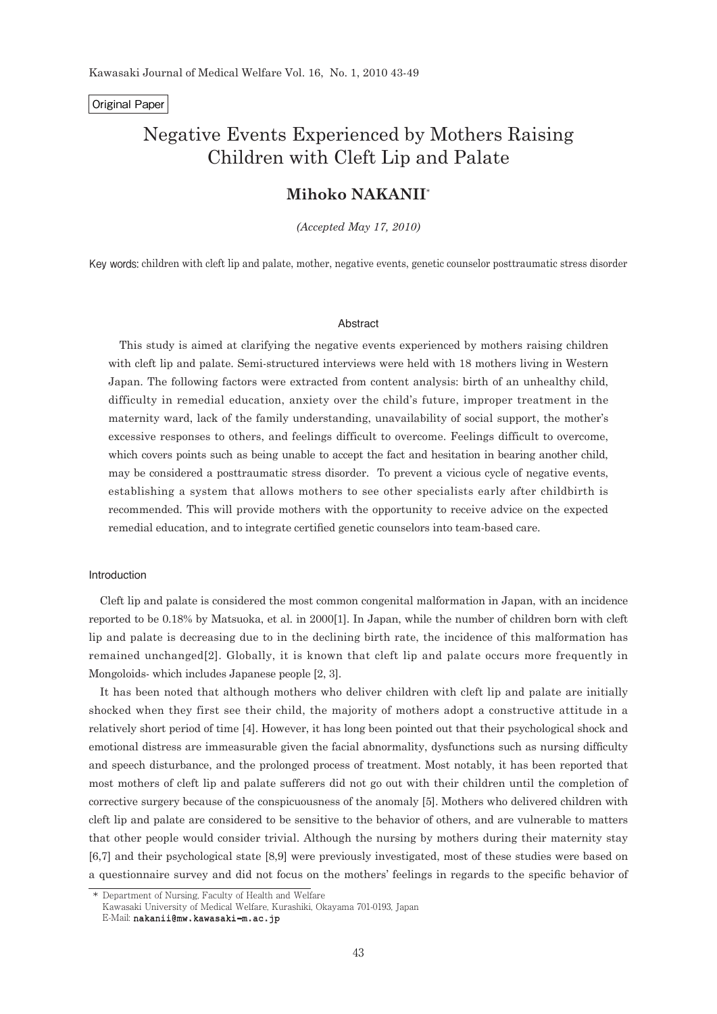# Original Paper

# Negative Events Experienced by Mothers Raising Children with Cleft Lip and Palate

# **Mihoko NAKANII**\*

*(Accepted May 17, 2010)*

Key words: children with cleft lip and palate, mother, negative events, genetic counselor posttraumatic stress disorder

#### Abstract

This study is aimed at clarifying the negative events experienced by mothers raising children with cleft lip and palate. Semi-structured interviews were held with 18 mothers living in Western Japan. The following factors were extracted from content analysis: birth of an unhealthy child, difficulty in remedial education, anxiety over the child's future, improper treatment in the maternity ward, lack of the family understanding, unavailability of social support, the mother's excessive responses to others, and feelings difficult to overcome. Feelings difficult to overcome, which covers points such as being unable to accept the fact and hesitation in bearing another child, may be considered a posttraumatic stress disorder. To prevent a vicious cycle of negative events, establishing a system that allows mothers to see other specialists early after childbirth is recommended. This will provide mothers with the opportunity to receive advice on the expected remedial education, and to integrate certified genetic counselors into team-based care.

# Introduction

Cleft lip and palate is considered the most common congenital malformation in Japan, with an incidence reported to be 0.18% by Matsuoka, et al. in 2000[1]. In Japan, while the number of children born with cleft lip and palate is decreasing due to in the declining birth rate, the incidence of this malformation has remained unchanged[2]. Globally, it is known that cleft lip and palate occurs more frequently in Mongoloids- which includes Japanese people [2, 3].

It has been noted that although mothers who deliver children with cleft lip and palate are initially shocked when they first see their child, the majority of mothers adopt a constructive attitude in a relatively short period of time [4]. However, it has long been pointed out that their psychological shock and emotional distress are immeasurable given the facial abnormality, dysfunctions such as nursing difficulty and speech disturbance, and the prolonged process of treatment. Most notably, it has been reported that most mothers of cleft lip and palate sufferers did not go out with their children until the completion of corrective surgery because of the conspicuousness of the anomaly [5]. Mothers who delivered children with cleft lip and palate are considered to be sensitive to the behavior of others, and are vulnerable to matters that other people would consider trivial. Although the nursing by mothers during their maternity stay [6,7] and their psychological state [8,9] were previously investigated, most of these studies were based on a questionnaire survey and did not focus on the mothers' feelings in regards to the specific behavior of

 <sup>\*</sup> Department of Nursing, Faculty of Health and Welfare

Kawasaki University of Medical Welfare, Kurashiki, Okayama 701-0193, Japan

E-Mail: nakanii@mw.kawasaki-m.ac.jp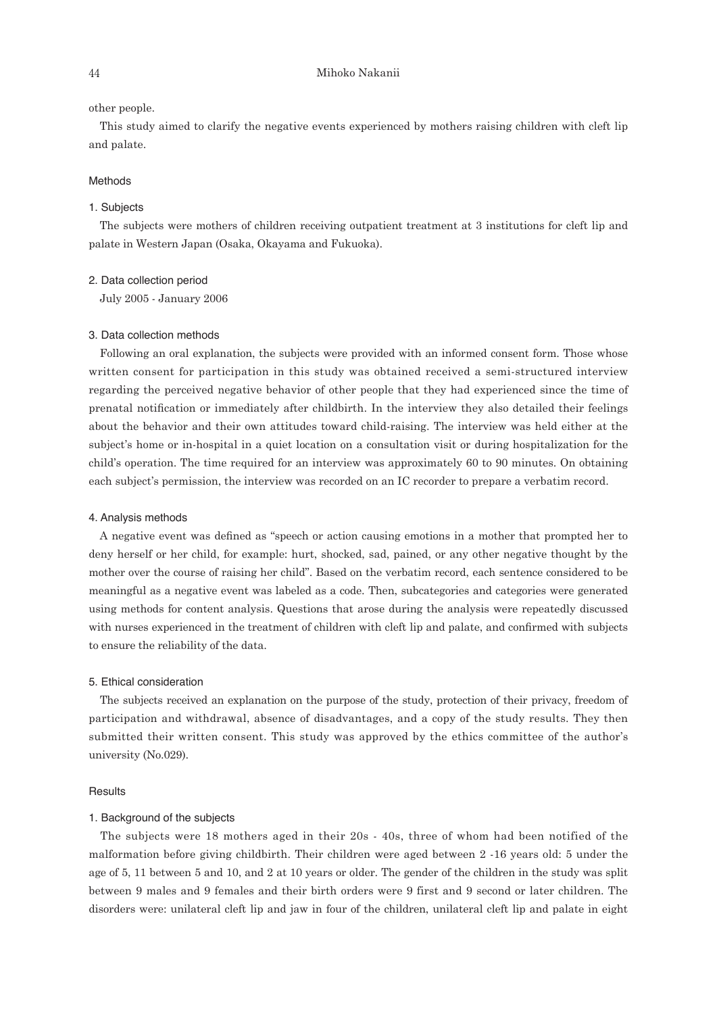#### other people.

This study aimed to clarify the negative events experienced by mothers raising children with cleft lip and palate.

# Methods

#### 1. Subjects

The subjects were mothers of children receiving outpatient treatment at 3 institutions for cleft lip and palate in Western Japan (Osaka, Okayama and Fukuoka).

### 2. Data collection period

July 2005 - January 2006

# 3. Data collection methods

Following an oral explanation, the subjects were provided with an informed consent form. Those whose written consent for participation in this study was obtained received a semi-structured interview regarding the perceived negative behavior of other people that they had experienced since the time of prenatal notification or immediately after childbirth. In the interview they also detailed their feelings about the behavior and their own attitudes toward child-raising. The interview was held either at the subject's home or in-hospital in a quiet location on a consultation visit or during hospitalization for the child's operation. The time required for an interview was approximately 60 to 90 minutes. On obtaining each subject's permission, the interview was recorded on an IC recorder to prepare a verbatim record.

#### 4. Analysis methods

A negative event was defined as "speech or action causing emotions in a mother that prompted her to deny herself or her child, for example: hurt, shocked, sad, pained, or any other negative thought by the mother over the course of raising her child". Based on the verbatim record, each sentence considered to be meaningful as a negative event was labeled as a code. Then, subcategories and categories were generated using methods for content analysis. Questions that arose during the analysis were repeatedly discussed with nurses experienced in the treatment of children with cleft lip and palate, and confirmed with subjects to ensure the reliability of the data.

# 5. Ethical consideration

The subjects received an explanation on the purpose of the study, protection of their privacy, freedom of participation and withdrawal, absence of disadvantages, and a copy of the study results. They then submitted their written consent. This study was approved by the ethics committee of the author's university (No.029).

#### **Results**

# 1. Background of the subjects

The subjects were 18 mothers aged in their 20s - 40s, three of whom had been notified of the malformation before giving childbirth. Their children were aged between 2 -16 years old: 5 under the age of 5, 11 between 5 and 10, and 2 at 10 years or older. The gender of the children in the study was split between 9 males and 9 females and their birth orders were 9 first and 9 second or later children. The disorders were: unilateral cleft lip and jaw in four of the children, unilateral cleft lip and palate in eight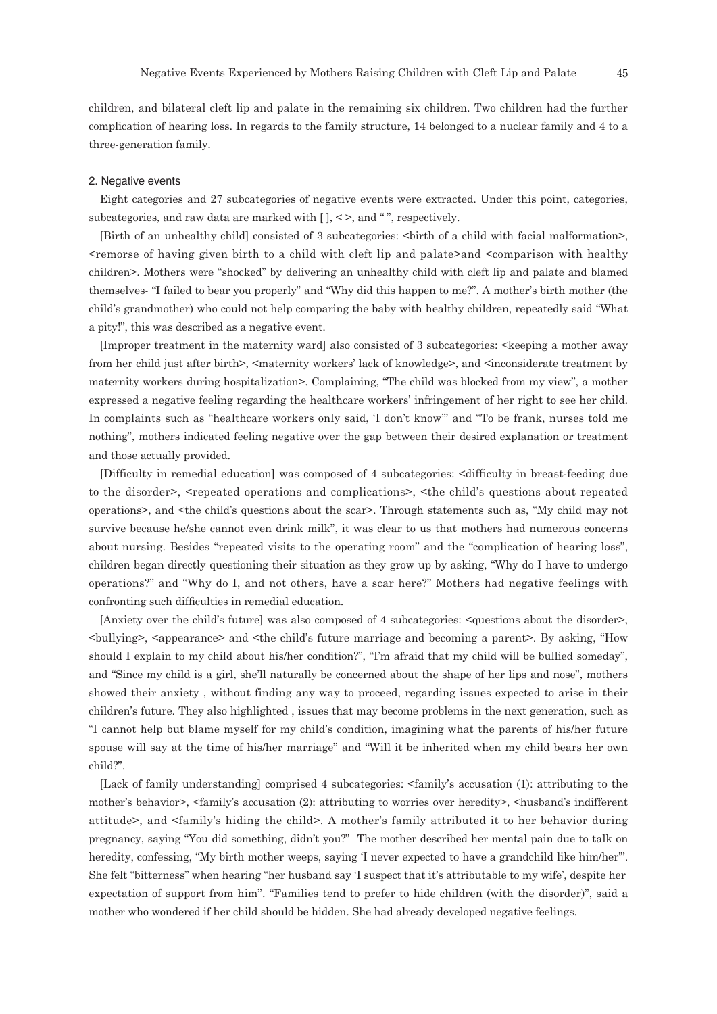children, and bilateral cleft lip and palate in the remaining six children. Two children had the further complication of hearing loss. In regards to the family structure, 14 belonged to a nuclear family and 4 to a three-generation family.

#### 2. Negative events

Eight categories and 27 subcategories of negative events were extracted. Under this point, categories, subcategories, and raw data are marked with  $[$   $]$ ,  $\leq$  >, and "", respectively.

[Birth of an unhealthy child] consisted of 3 subcategories: <birth of a child with facial malformation>, <remorse of having given birth to a child with cleft lip and palate>and <comparison with healthy children>. Mothers were "shocked" by delivering an unhealthy child with cleft lip and palate and blamed themselves- "I failed to bear you properly" and "Why did this happen to me?". A mother's birth mother (the child's grandmother) who could not help comparing the baby with healthy children, repeatedly said "What a pity!", this was described as a negative event.

[Improper treatment in the maternity ward] also consisted of 3 subcategories: <keeping a mother away from her child just after birth>, <maternity workers' lack of knowledge>, and <inconsiderate treatment by maternity workers during hospitalization>. Complaining, "The child was blocked from my view", a mother expressed a negative feeling regarding the healthcare workers' infringement of her right to see her child. In complaints such as "healthcare workers only said, 'I don't know'" and "To be frank, nurses told me nothing", mothers indicated feeling negative over the gap between their desired explanation or treatment and those actually provided.

[Difficulty in remedial education] was composed of 4 subcategories: <difficulty in breast-feeding due to the disorder>, <repeated operations and complications>, <the child's questions about repeated operations>, and <the child's questions about the scar>. Through statements such as, "My child may not survive because he/she cannot even drink milk", it was clear to us that mothers had numerous concerns about nursing. Besides "repeated visits to the operating room" and the "complication of hearing loss", children began directly questioning their situation as they grow up by asking, "Why do I have to undergo operations?" and "Why do I, and not others, have a scar here?" Mothers had negative feelings with confronting such difficulties in remedial education.

[Anxiety over the child's future] was also composed of 4 subcategories: <questions about the disorder>, <bullying>, <appearance> and <the child's future marriage and becoming a parent>. By asking, "How should I explain to my child about his/her condition?", "I'm afraid that my child will be bullied someday", and "Since my child is a girl, she'll naturally be concerned about the shape of her lips and nose", mothers showed their anxiety , without finding any way to proceed, regarding issues expected to arise in their children's future. They also highlighted , issues that may become problems in the next generation, such as "I cannot help but blame myself for my child's condition, imagining what the parents of his/her future spouse will say at the time of his/her marriage" and "Will it be inherited when my child bears her own child?".

[Lack of family understanding] comprised 4 subcategories: <family's accusation (1): attributing to the mother's behavior>, <family's accusation (2): attributing to worries over heredity>, <husband's indifferent attitude>, and <family's hiding the child>. A mother's family attributed it to her behavior during pregnancy, saying "You did something, didn't you?" The mother described her mental pain due to talk on heredity, confessing, "My birth mother weeps, saying 'I never expected to have a grandchild like him/her"'. She felt "bitterness" when hearing "her husband say 'I suspect that it's attributable to my wife', despite her expectation of support from him". "Families tend to prefer to hide children (with the disorder)", said a mother who wondered if her child should be hidden. She had already developed negative feelings.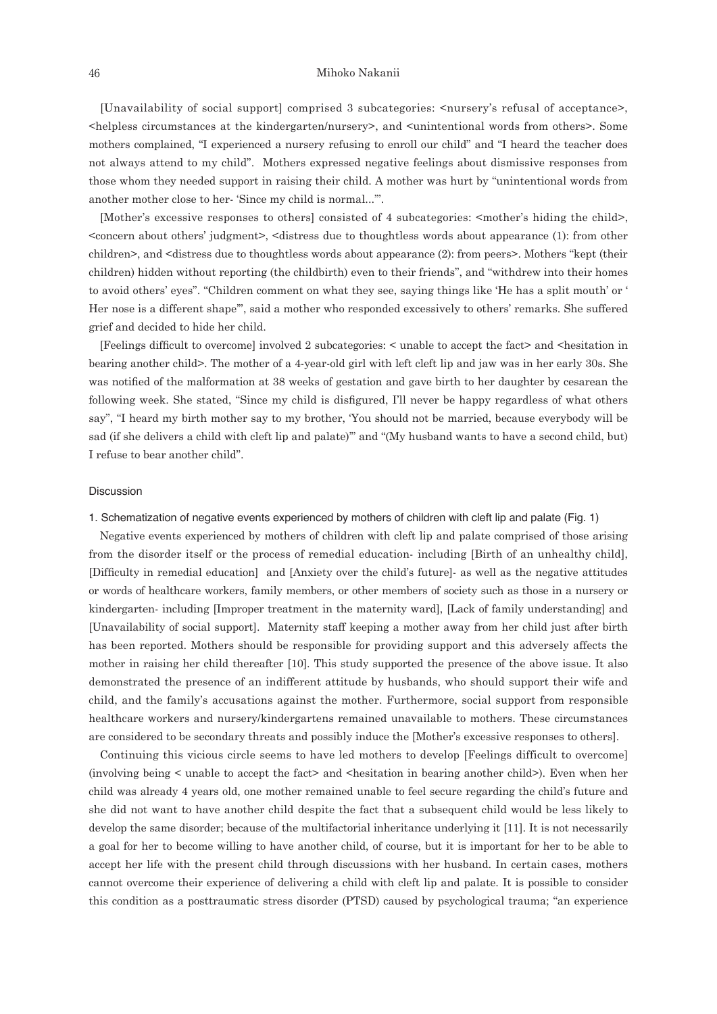# 46 Mihoko Nakanii

[Unavailability of social support] comprised 3 subcategories: <nursery's refusal of acceptance>, <helpless circumstances at the kindergarten/nursery>, and <unintentional words from others>. Some mothers complained, "I experienced a nursery refusing to enroll our child" and "I heard the teacher does not always attend to my child". Mothers expressed negative feelings about dismissive responses from those whom they needed support in raising their child. A mother was hurt by "unintentional words from another mother close to her- 'Since my child is normal...'".

[Mother's excessive responses to others] consisted of 4 subcategories: <mother's hiding the child>, <concern about others' judgment>, <distress due to thoughtless words about appearance (1): from other children>, and <distress due to thoughtless words about appearance (2): from peers>. Mothers "kept (their children) hidden without reporting (the childbirth) even to their friends", and "withdrew into their homes to avoid others' eyes". "Children comment on what they see, saying things like 'He has a split mouth' or ' Her nose is a different shape'", said a mother who responded excessively to others' remarks. She suffered grief and decided to hide her child.

[Feelings difficult to overcome] involved 2 subcategories: < unable to accept the fact> and <hesitation in bearing another child>. The mother of a 4-year-old girl with left cleft lip and jaw was in her early 30s. She was notified of the malformation at 38 weeks of gestation and gave birth to her daughter by cesarean the following week. She stated, "Since my child is disfigured, I'll never be happy regardless of what others say", "I heard my birth mother say to my brother, 'You should not be married, because everybody will be sad (if she delivers a child with cleft lip and palate)'" and "(My husband wants to have a second child, but) I refuse to bear another child".

#### Discussion

# 1. Schematization of negative events experienced by mothers of children with cleft lip and palate (Fig. 1)

Negative events experienced by mothers of children with cleft lip and palate comprised of those arising from the disorder itself or the process of remedial education- including [Birth of an unhealthy child], [Difficulty in remedial education] and [Anxiety over the child's future]- as well as the negative attitudes or words of healthcare workers, family members, or other members of society such as those in a nursery or kindergarten- including [Improper treatment in the maternity ward], [Lack of family understanding] and [Unavailability of social support]. Maternity staff keeping a mother away from her child just after birth has been reported. Mothers should be responsible for providing support and this adversely affects the mother in raising her child thereafter [10]. This study supported the presence of the above issue. It also demonstrated the presence of an indifferent attitude by husbands, who should support their wife and child, and the family's accusations against the mother. Furthermore, social support from responsible healthcare workers and nursery/kindergartens remained unavailable to mothers. These circumstances are considered to be secondary threats and possibly induce the [Mother's excessive responses to others].

Continuing this vicious circle seems to have led mothers to develop [Feelings difficult to overcome] (involving being < unable to accept the fact> and <hesitation in bearing another child>). Even when her child was already 4 years old, one mother remained unable to feel secure regarding the child's future and she did not want to have another child despite the fact that a subsequent child would be less likely to develop the same disorder; because of the multifactorial inheritance underlying it [11]. It is not necessarily a goal for her to become willing to have another child, of course, but it is important for her to be able to accept her life with the present child through discussions with her husband. In certain cases, mothers cannot overcome their experience of delivering a child with cleft lip and palate. It is possible to consider this condition as a posttraumatic stress disorder (PTSD) caused by psychological trauma; "an experience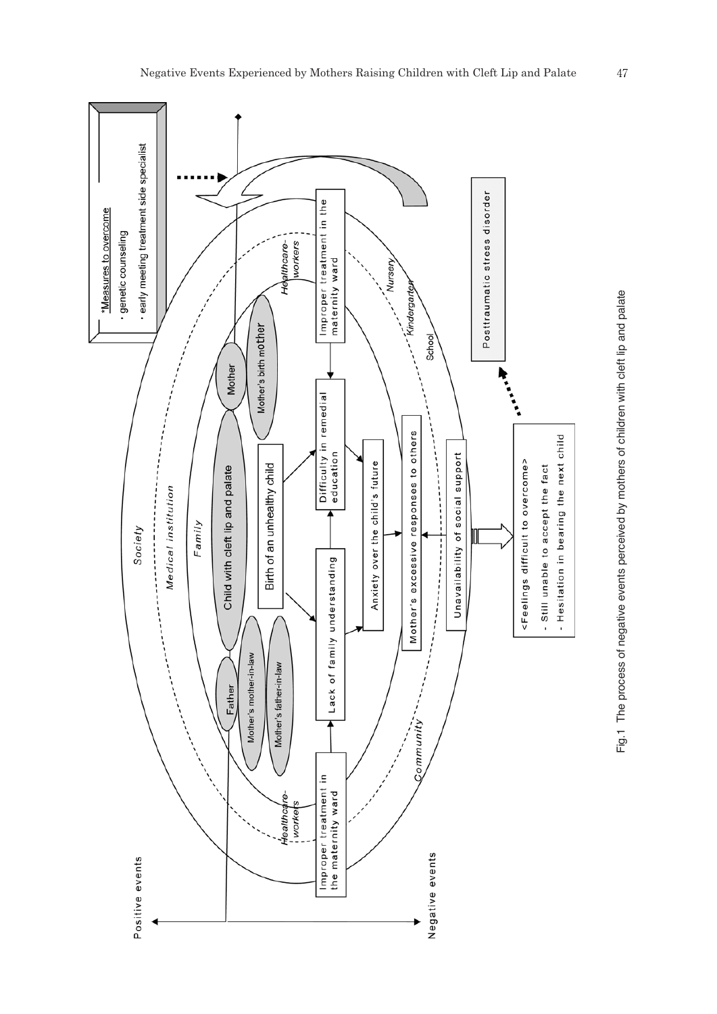

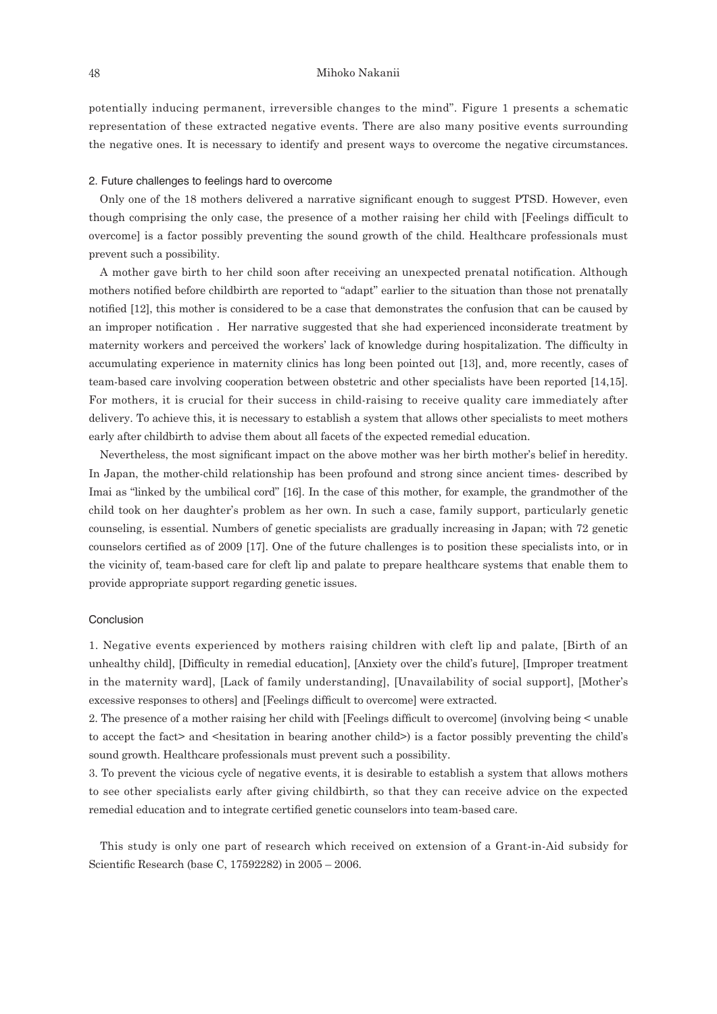potentially inducing permanent, irreversible changes to the mind". Figure 1 presents a schematic representation of these extracted negative events. There are also many positive events surrounding the negative ones. It is necessary to identify and present ways to overcome the negative circumstances.

#### 2. Future challenges to feelings hard to overcome

Only one of the 18 mothers delivered a narrative significant enough to suggest PTSD. However, even though comprising the only case, the presence of a mother raising her child with [Feelings difficult to overcome] is a factor possibly preventing the sound growth of the child. Healthcare professionals must prevent such a possibility.

A mother gave birth to her child soon after receiving an unexpected prenatal notification. Although mothers notified before childbirth are reported to "adapt" earlier to the situation than those not prenatally notified [12], this mother is considered to be a case that demonstrates the confusion that can be caused by an improper notification . Her narrative suggested that she had experienced inconsiderate treatment by maternity workers and perceived the workers' lack of knowledge during hospitalization. The difficulty in accumulating experience in maternity clinics has long been pointed out [13], and, more recently, cases of team-based care involving cooperation between obstetric and other specialists have been reported [14,15]. For mothers, it is crucial for their success in child-raising to receive quality care immediately after delivery. To achieve this, it is necessary to establish a system that allows other specialists to meet mothers early after childbirth to advise them about all facets of the expected remedial education.

Nevertheless, the most significant impact on the above mother was her birth mother's belief in heredity. In Japan, the mother-child relationship has been profound and strong since ancient times- described by Imai as "linked by the umbilical cord" [16]. In the case of this mother, for example, the grandmother of the child took on her daughter's problem as her own. In such a case, family support, particularly genetic counseling, is essential. Numbers of genetic specialists are gradually increasing in Japan; with 72 genetic counselors certified as of 2009 [17]. One of the future challenges is to position these specialists into, or in the vicinity of, team-based care for cleft lip and palate to prepare healthcare systems that enable them to provide appropriate support regarding genetic issues.

### Conclusion

1. Negative events experienced by mothers raising children with cleft lip and palate, [Birth of an unhealthy child], [Difficulty in remedial education], [Anxiety over the child's future], [Improper treatment in the maternity ward], [Lack of family understanding], [Unavailability of social support], [Mother's excessive responses to others] and [Feelings difficult to overcome] were extracted.

2. The presence of a mother raising her child with [Feelings difficult to overcome] (involving being < unable to accept the fact> and <hesitation in bearing another child>) is a factor possibly preventing the child's sound growth. Healthcare professionals must prevent such a possibility.

3. To prevent the vicious cycle of negative events, it is desirable to establish a system that allows mothers to see other specialists early after giving childbirth, so that they can receive advice on the expected remedial education and to integrate certified genetic counselors into team-based care.

This study is only one part of research which received on extension of a Grant-in-Aid subsidy for Scientific Research (base C, 17592282) in 2005 – 2006.